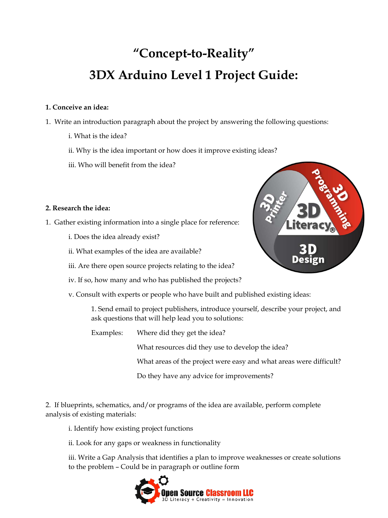# **"Concept-to-Reality" 3DX Arduino Level 1 Project Guide:**

## **1. Conceive an idea:**

- 1. Write an introduction paragraph about the project by answering the following questions:
	- i. What is the idea?
	- ii. Why is the idea important or how does it improve existing ideas?
	- iii. Who will benefit from the idea?

## **2. Research the idea:**

- 1. Gather existing information into a single place for reference:
	- i. Does the idea already exist?
	- ii. What examples of the idea are available?
	- iii. Are there open source projects relating to the idea?
	- iv. If so, how many and who has published the projects?
	- v. Consult with experts or people who have built and published existing ideas:

1. Send email to project publishers, introduce yourself, describe your project, and ask questions that will help lead you to solutions:

Examples: Where did they get the idea?

What resources did they use to develop the idea?

What areas of the project were easy and what areas were difficult?

Do they have any advice for improvements?

2. If blueprints, schematics, and/or programs of the idea are available, perform complete analysis of existing materials:

i. Identify how existing project functions

ii. Look for any gaps or weakness in functionality

iii. Write a Gap Analysis that identifies a plan to improve weaknesses or create solutions to the problem – Could be in paragraph or outline form



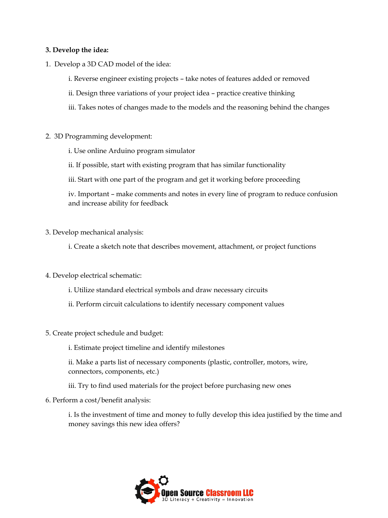#### **3. Develop the idea:**

- 1. Develop a 3D CAD model of the idea:
	- i. Reverse engineer existing projects take notes of features added or removed
	- ii. Design three variations of your project idea practice creative thinking
	- iii. Takes notes of changes made to the models and the reasoning behind the changes
- 2. 3D Programming development:
	- i. Use online Arduino program simulator
	- ii. If possible, start with existing program that has similar functionality
	- iii. Start with one part of the program and get it working before proceeding

iv. Important – make comments and notes in every line of program to reduce confusion and increase ability for feedback

- 3. Develop mechanical analysis:
	- i. Create a sketch note that describes movement, attachment, or project functions
- 4. Develop electrical schematic:
	- i. Utilize standard electrical symbols and draw necessary circuits
	- ii. Perform circuit calculations to identify necessary component values
- 5. Create project schedule and budget:
	- i. Estimate project timeline and identify milestones
	- ii. Make a parts list of necessary components (plastic, controller, motors, wire, connectors, components, etc.)
	- iii. Try to find used materials for the project before purchasing new ones
- 6. Perform a cost/benefit analysis:

i. Is the investment of time and money to fully develop this idea justified by the time and money savings this new idea offers?

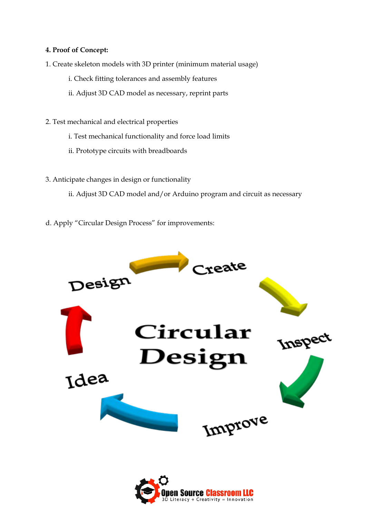## **4. Proof of Concept:**

- 1. Create skeleton models with 3D printer (minimum material usage)
	- i. Check fitting tolerances and assembly features
	- ii. Adjust 3D CAD model as necessary, reprint parts
- 2. Test mechanical and electrical properties
	- i. Test mechanical functionality and force load limits
	- ii. Prototype circuits with breadboards
- 3. Anticipate changes in design or functionality
	- ii. Adjust 3D CAD model and/or Arduino program and circuit as necessary
- d. Apply "Circular Design Process" for improvements:



Literacy + Creativity = Innovation